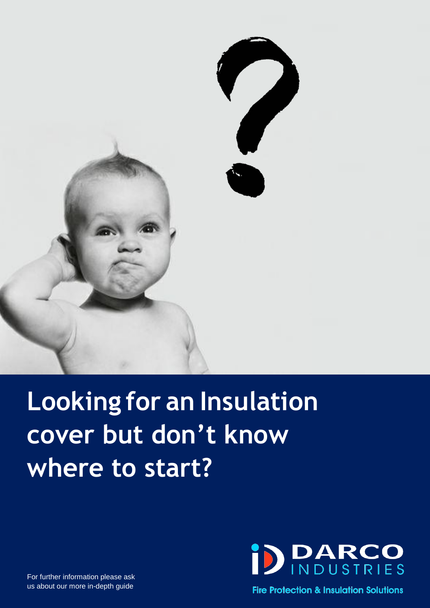

# **Looking for an Insulation cover but don't know where to start?**



For further information please ask us about our more in-depth guide

**Fire Protection & Insulation Solutions**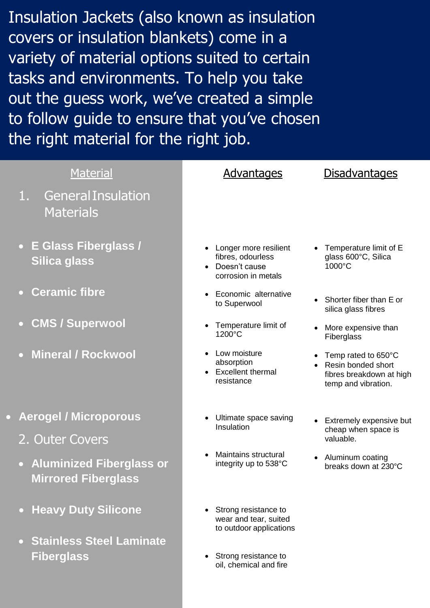Insulation Jackets (also known as insulation covers or insulation blankets) come in a variety of material options suited to certain tasks and environments. To help you take out the guess work, we've created a simple to follow guide to ensure that you've chosen the right material for the right job.

| <b>Material</b>                                                                          | <b>Advantages</b>                                                                  | <b>Disadvantages</b>                                                                         |
|------------------------------------------------------------------------------------------|------------------------------------------------------------------------------------|----------------------------------------------------------------------------------------------|
| <b>General Insulation</b><br>1.<br><b>Materials</b>                                      |                                                                                    |                                                                                              |
| • E Glass Fiberglass /<br>Silica glass                                                   | Longer more resilient<br>fibres, odourless<br>Doesn't cause<br>corrosion in metals | Temperature limit of E<br>glass 600°C, Silica<br>1000°C                                      |
| <b>Ceramic fibre</b><br>$\bullet$                                                        | Economic alternative<br>to Superwool                                               | Shorter fiber than E or<br>silica glass fibres                                               |
| <b>CMS / Superwool</b><br>$\bullet$                                                      | Temperature limit of<br>1200°C                                                     | More expensive than<br>Fiberglass                                                            |
| <b>Mineral / Rockwool</b><br>$\overline{O}$                                              | Low moisture<br>absorption<br><b>Excellent thermal</b><br>resistance               | Temp rated to 650°C<br>Resin bonded short<br>fibres breakdown at high<br>temp and vibration. |
| <b>Aerogel / Microporous</b><br>2. Outer Covers                                          | Ultimate space saving<br>Insulation                                                | Extremely expensive but<br>cheap when space is<br>valuable.                                  |
| <b>Aluminized Fiberglass or</b><br>$\overline{\mathbf{C}}$<br><b>Mirrored Fiberglass</b> | Maintains structural<br>integrity up to 538°C                                      | Aluminum coating<br>breaks down at 230°C                                                     |
| <b>Heavy Duty Silicone</b><br>$\bullet$                                                  | Strong resistance to<br>wear and tear, suited<br>to outdoor applications           |                                                                                              |
| <b>Stainless Steel Laminate</b><br>$\bullet$<br><b>Fiberglass</b>                        | Strong resistance to<br>oil, chemical and fire                                     |                                                                                              |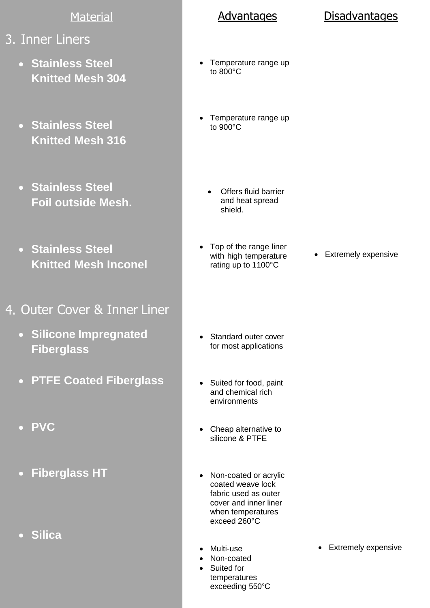### **Material**

- 3. Inner Liners
	- **Stainless Steel Knitted Mesh 304**
	- **Stainless Steel Knitted Mesh 316**
	- **Stainless Steel Foil outside Mesh.**
	- **Stainless Steel Knitted Mesh Inconel**
- 4. Outer Cover & Inner Liner
	- **Silicone Impregnated Fiberglass**
	- **PTFE Coated Fiberglass**
	- **PVC**
	- **Fiberglass HT**  $\bullet$
	- **Silica**

- Temperature range up to 800°C
- Temperature range up to 900°C
	- Offers fluid barrier and heat spread shield.
- Top of the range liner with high temperature rating up to 1100°C
- Extremely expensive

- Standard outer cover for most applications
- Suited for food, paint and chemical rich environments
- Cheap alternative to silicone & PTFE
- Non-coated or acrylic coated weave lock fabric used as outer cover and inner liner when temperatures exceed 260°C
- Multi-use
- Non-coated
	- Suited for temperatures exceeding 550°C
- Extremely expensive

### Advantages Disadvantages